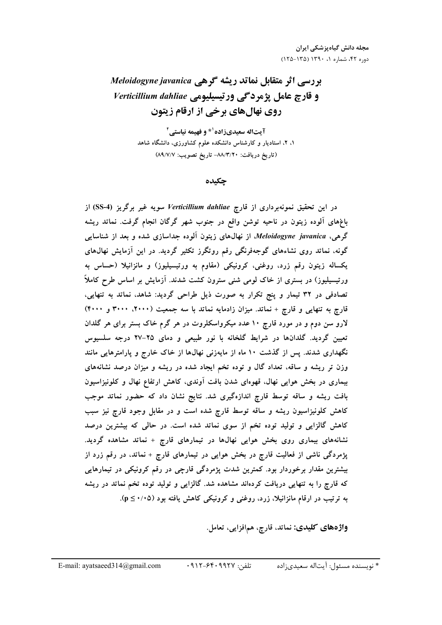# بررسی اثر متقابل نماتد ریشه گرهی Meloidogyne javanica و قارچ عامل یژمردگی ورتیسیلیومی Verticillium dahliae روی نهال های برخی از ارقام زیتون

آیتاله سعیدیزاده<sup>۱</sup>\* و فهیمه نیاستی<sup>۲</sup> ۱، ۲، استادیار و کارشناس دانشکده علوم کشاورزی، دانشگاه شاهد (تاريخ دريافت: ٨٨/٣/٢٠- تاريخ تصويب: ٨٩/٧/٧)

#### جكىدە

در این تحقیق نمونهبرداری از قارچ Verticillium dahliae سویه غیر برگریز (SS-4) از باغهای آلوده زیتون در ناحیه توشن واقع در جنوب شهر گرگان انجام گرفت. نماتد ریشه گرهیِ، Meloidogyne javanica، از نهالهای زیتون آلوده جداسازی شده و بعد از شناسایی گونه، نماتد روی نشاءهای گوجهفرنگی رقم روتگرز تکثیر گردید. در این آزمایش نهال،های یکساله زیتون رقم زرد، روغنی، کرونیکی (مقاوم به ورتیسیلیوز) و مانزانیلا (حساس به ورتیسیلیوز) در بستری از خاک لومی شنی سترون کشت شدند. آزمایش بر اساس طرح کاملاً تصادفی در ۳۲ تیمار و پنج تکرار به صورت ذیل طراحی گردید: شاهد، نماتد به تنهایی، قارچ به تنهایی و قارچ + نماتد. میزان زادمایه نماتد با سه جمعیت (۲۰۰۰، ۳۰۰۰ و ۴۰۰۰) لارو سن دوم و در مورد قارچ ۱۰ عدد میکرواسکلروت در هر گرم خاک بستر برای هر گلدان تعیین گردید. گلدانها در شرایط گلخانه با نور طبیعی و دمای ۲۵–۲۷ درجه سلسیوس نگهداری شدند. پس از گذشت ۱۰ ماه از مایهزنی نهالها از خاک خارج و پارامترهایی مانند وزن تر ریشه و ساقه، تعداد گال و توده تخم ایجاد شده در ریشه و میزان درصد نشانههای بیماری در بخش هوایی نهال، قهوهای شدن بافت آوندی، کاهش ارتفاع نهال و کلونیزاسیون بافت ریشه و ساقه توسط قارچ اندازهگیری شد. نتایج نشان داد که حضور نماتد موجب کاهش کلونیزاسیون ریشه و ساقه توسط قارچ شده است و در مقابل وجود قارچ نیز سبب کاهش گالزایی و تولید توده تخم از سوی نماتد شده است. در حالی که بیشترین درصد نشانههای بیماری روی بخش هوایی نهالها در تیمارهای قارچ + نماتد مشاهده گردید. پژمردگی ناشی از فعالیت قارچ در بخش هوایی در تیمارهای قارچ + نماتد، در رقم زرد از بیشترین مقدار برخوردار بود. کمترین شدت پژمردگی قارچی در رقم کرونیکی در تیمارهایی که قارچ را به تنهایی دریافت کردهاند مشاهده شد. گالزایی و تولید توده تخم نماتد در ریشه به ترتیب در ارقام مانزانیلا، زرد، روغنی و کرونیکی کاهش یافته بود (۰/۰۵≥ p).

واژەهاي كليدى: نماتد، قارچ، همافزايي، تعامل.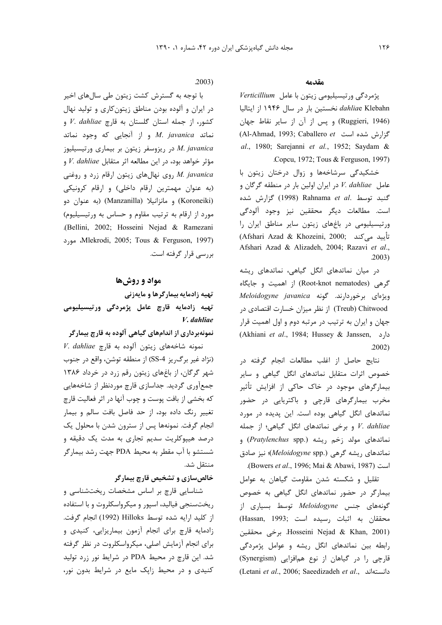#### مقدمه

پژمردگی ورتیسیلیومی زیتون با عامل Verticillium *dahlia*e Klebahn نخستین بار در سال ۱۹۴۶ از ایتالیا (Ruggieri, 1946) و پس از آن از سایر نقاط جهان Al-Ahmad, 1993; Caballero et حزارش شده است Al-Ahmad, 1993; al., 1980; Sarejanni et al., 1952; Saydam & Copcu, 1972; Tous & Ferguson, 1997).

خشکیدگی سرشاخهها و زوال درختان زیتون با عامل V. dahliae در ایران اولین بار در منطقه گرگان و گنبد توسط .Rahnama et al (1998) گزارش شده است. مطالعات دیگر محققین نیز وجود آلودگی ورتیسیلیومی در باغهای زیتون سایر مناطق ایران را (Afshari Azad & Khozeini, 2000; تأييد مي كند Afshari Azad & Alizadeh, 2004; Razavi et al.,  $.2003)$ 

در میان نماتدهای انگل گیاهی، نماتدهای ریشه گرهی (Root-knot nematodes) از اهمیت و جایگاه Aeloidogyne javanica ویژهای برخوردارند. گونه Treub) Chitwood) از نظر میزان خسارت اقتصادی در جهان و ايران به ترتيب در مرتبه دوم و اول اهميت قرار (Akhiani et al., 1984; Hussey & Janssen, دارد  $.2002)$ 

نتايج حاصل از اغلب مطالعات انجام گرفته در خصوص اثرات متقابل نماتدهای انگل گیاهی و سایر بیمارگرهای موجود در خاک حاکی از افزایش تأثیر مخرب بیمارگرهای قارچی و باکتریایی در حضور نماتدهای انگل گیاهی بوده است. این پدیده در مورد و برخی نماتدهای انگل گیاهی؛ از جمله V. dahliae نماتدهای مولد زخم ریشه (Pratylenchus spp.) و نماتدهای ریشه گرهی (Meloidogyne spp.)؛ نیز صادق .(Bowers et al., 1996; Mai & Abawi, 1987)

تقلیل و شکسته شدن مقاومت گیاهان به عوامل بیمارگر در حضور نماتدهای انگل گیاهی به خصوص گونههای جنس Meloidogyne توسط بسیاری از (Hassan, 1993; رسيده است) Hosseini Nejad & Khan, 2001). برخی محققین رابطه بین نماتدهای انگل ریشه و عوامل پژمردگی قارچی را در گیاهان از نوع همافزایی (Synergism) (Letani et al., 2006; Saeedizadeh et al., دانستهاند

#### $.2003)$

با توجه به گسترش کشت زیتون طی سالهای اخیر در ایران و آلوده بودن مناطق زیتون کاری و تولید نهال كشور، از جمله استان گلستان به قارچ V. dahliae و نماتد M. javanica و از آنجایی که وجود نماتد در ریزوسفر زیتون بر بیماری ورتیسیلیوز M. javanica مؤثر خواهد بود، در این مطالعه اثر متقابل V. dahliae و M. javanica روی نهالهای زیتون ارقام زرد و روغنی (به عنوان مهمترین ارقام داخلی) و ارقام کرونیکی (Koroneiki) و مانزانيلا (Manzanilla) (به عنوان دو مورد از ارقام به ترتیب مقاوم و حساس به ورتیسیلیوم) .(Bellini, 2002; Hosseini Nejad & Ramezani Mlekrodi, 2005; Tous & Ferguson, 1997)، مورد بررسی قرار گرفته است.

# مواد و روشها

تهیه زادمایه بیمارگرها و مایهزنی تهیه زادمایه قارچ عامل پژمردگی ورتیسیلیومی V. dahliae

### نمونهبرداری از اندامهای گیاهی آلوده به قارچ بیمارگر

V. dahliae تمونه شاخههای زیتون آلوده به قارچ (نژاد غير برگ ريز SS-4) از منطقه توشن، واقع در جنوب شهر گرگان، از باغهای زیتون رقم زرد در خرداد ۱۳۸۶ جمع آوری گردید. جداسازی قارچ موردنظر از شاخههایی که بخشی از بافت پوست و چوب آنها در اثر فعالیت قارچ تغییر رنگ داده بود، از حد فاصل بافت سالم و بیمار انجام گرفت. نمونهها پس از سترون شدن با محلول یک درصد هیپوکلریت سدیم تجاری به مدت یک دقیقه و شستشو با آب مقطر به محیط PDA جهت رشد بیمارگر منتقل شد.

خالصسازی و تشخیص قارچ بیمارگر

شناسایی قارچ بر اساس مشخصات ریختشناسی و ریختسنجی فیالید، اسپور و میکرواسکلروت و با استفاده از كليد ارايه شده توسط Hilloks (1992) انجام گرفت. زادمایه قارچ برای انجام آزمون بیماریزایی، کنیدی و برای انجام آزمایش اصلی، میکرواسکلروت در نظر گرفته شد. این قارچ در محیط PDA در شرایط نور زرد تولید کنیدی و در محیط زاپک مایع در شرایط بدون نور،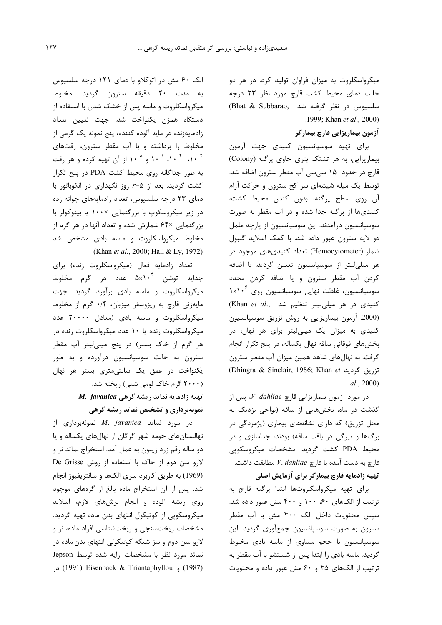میکرواسکلروت به میزان فراوان تولید کرد. در هر دو حالت دمای محیط کشت قارچ مورد نظر ۲۳ درجه سلسیوس در نظر گرفته شد ,Bhat & Subbarao) .1999; Khan et al., 2000)

آزمون بيماريزايي قارچ بيمارگر

برای تهیه سوسپانسیون کنیدی جهت آزمون بیماریزایی، به هر تشتک پتری حاوی پر گنه (Colony) قارچ در حدود ۱۵ سی سی آب مقطر سترون اضافه شد. توسط یک میله شیشهای سر کج سترون و حرکت آرام آن روی سطح پرگنه، بدون کندن محیط کشت، کنیدیها از پرگنه جدا شده و در آب مقطر به صورت سوسپانسیون درآمدند. این سوسپانسیون از پارچه ململ دو لایه سترون عبور داده شد. با کمک اسلاید گلبول شمار (Hemocytometer) تعداد کنیدیهای موجود در هر میلی لیتر از سوسیانسیون تعیین گردید. با اضافه كردن آب مقطر سترون و يا اضافه كردن مجدد سوسپانسیون، غلظت نهایی سوسپانسیون روی ۱×۱۰ (Khan et al., شد (Khan et al., كنيدى در هر ميلى ليتر تنظيم شد (2000. آزمون بیماریزایی به روش تزریق سوسپانسیون کنیدی به میزان یک میلی لیتر برای هر نهال، در بخشهای فوقانی ساقه نهال یکساله، در پنج تکرار انجام گرفت. به نهالهای شاهد همین میزان آب مقطر سترون Ticlair, 1986; Khan et تزريق گرديد Dhingra & Sinclair, 1986; Khan et  $al., 2000$ 

در مورد آزمون بیماریزایی قارچ V. dahliae، یس از گذشت دو ماه، بخشهایی از ساقه (نواحی نزدیک به محل تزریق) که دارای نشانههای بیماری (پژمردگی در برگها و تیرگی در بافت ساقه) بودند، جداسازی و در محیط PDA کشت گردید. مشخصات میکروسکوپی قارچ به دست آمده با قارچ V. dahliae مطابقت داشت. تهیه زادمایه قارچ بیمارگر برای آزمایش اصلی

برای تهیه میکرواسکلروتها ابتدا پرگنه قارچ به ترتیب از الکهای ۶۰، ۱۰۰ و ۴۰۰ مش عبور داده شد. سیس محتویات داخل الک ۴۰۰ مش با آب مقطر سترون به صورت سوسیانسیون جمعآوری گردید. این سوسپانسیون با حجم مساوی از ماسه بادی مخلوط گردید. ماسه بادی را ابتدا پس از شستشو با آب مقطر به ترتیب از الکهای ۴۵ و ۶۰ مش عبور داده و محتویات

الک ۶۰ مش در اتوکلاو با دمای ۱۲۱ درجه سلسیوس به مدت ۲۰ دقیقه سترون گردید. مخلوط میکرواسکلروت و ماسه پس از خشک شدن با استفاده از دستگاه همزن یکنواخت شد. جهت تعیین تعداد زادمايهزنده در مايه آلوده كننده، پنج نمونه يک گرمي از مخلوط را برداشته و با آب مقطر سترون، رقتهای ۰- ۱، <sup>۴</sup> ۰/۰ <sup>۶-</sup> ۱۰ و <sup>۸- ۱</sup>۰ از آن تهیه کرده و هر رقت به طور جداگانه روی محیط کشت PDA در پنج تکرار کشت گردید. بعد از ۵-۶ روز نگهداری در انکوباتور با دمای ۲۳ درجه سلسیوس، تعداد زادمایههای جوانه زده در زیر میکروسکوپ با بزرگنمایی ×۱۰۰ یا بینوکولر با بزرگنمایی ×۶۴ شمارش شده و تعداد آنها در هر گرم از مخلوط میکرواسکلروت و ماسه بادی مشخص شد (Khan et al., 2000; Hall & Ly, 1972).

تعداد زادمايه فعال (ميكرواسكلروت زنده) براي جدایه توشن ۵×۱۰<sup>۴</sup> عدد در گرم مخلوط میکرواسکلروت و ماسه بادی برآورد گردید. جهت مایهزنی قارچ به ریزوسفر میزبان، ۰/۴ گرم از مخلوط میکرواسکلروت و ماسه بادی (معادل ۲۰۰۰۰ عدد میکرواسکلروت زنده یا ۱۰ عدد میکرواسکلروت زنده در هر گرم از خاک بستر) در پنج میلی لیتر آب مقطر سترون به حالت سوسپانسیون درآورده و به طور یکنواخت در عمق یک سانتی متری بستر هر نهال (۲۰۰۰ گرم خاک لومی شنی) ریخته شد. M. javanica تهیه زادمایه نماتد ریشه گرهی نمونهبرداری و تشخیص نماتد ریشه گرهی

 $M.$  *iavanica* نمونهبرداری از نهالستانهای حومه شهر گرگان از نهالهای یکساله و یا دو ساله رقم زرد زیتون به عمل آمد. استخراج نماتد نر و لارو سن دوم از خاک با استفاده از روش De Grisse (1969) به طريق كاربرد سرى الكها و سانتريفيوژ انجام شد. پس از آن استخراج ماده بالغ از گرههای موجود روی ریشه آلوده و انجام برشهای لازم، اسلاید میکروسکویی از کوتیکول انتهای بدن ماده تهیه گردید. مشخصات ریختسنجی و ریختشناسی افراد ماده، نر و لارو سن دوم و نیز شبکه کوتیکولی انتهای بدن ماده در نماتد مورد نظر با مشخصات ارايه شده توسط Jepson (1987) و 1991) Eisenback & Triantaphyllou) در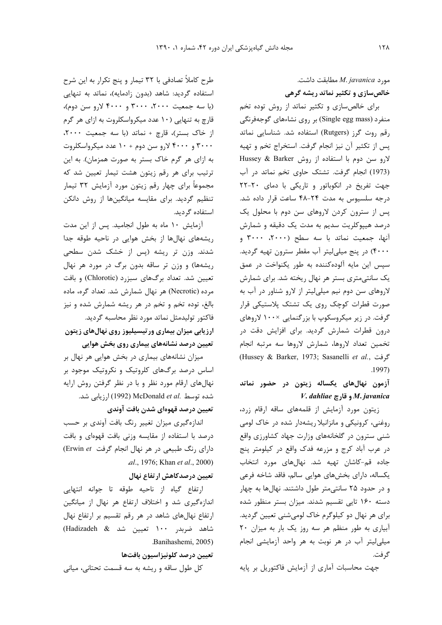$M$ . مطابقت داشت. M. javanica مطابقت خالصسازی و تکثیر نماتد ریشه گرهی

برای خالص سازی و تکثیر نماتد از روش توده تخم منفرد (Single egg mass) بر روی نشاءهای گوجهفرنگی رقم روت گرز (Rutgers) استفاده شد. شناسایی نماتد پس از تکثیر آن نیز انجام گرفت. استخراج تخم و تهیه لارو سن دوم با استفاده از روش Hussey & Barker (1973) انجام گرفت. تشتک حاوی تخم نماتد در آب جهت تفریخ در انکوباتور و تاریکی با دمای ٢٠-٢٢ درجه سلسیوس به مدت ۲۴-۴۸ ساعت قرار داده شد. پس از سترون کردن لاروهای سن دوم با محلول یک درصد هیپوکلریت سدیم به مدت یک دقیقه و شمارش آنها، جمعیت نماتد با سه سطح (٢٠٠٠، ٣٠٠٠ و ۴۰۰۰) در پنج میلی لیتر آب مقطر سترون تهیه گردید. سيس اين مايه آلوده كننده به طور يكنواخت در عمق یک سانتی متری بستر هر نهال ریخته شد. برای شمارش لاروهای سن دوم نیم میلی لیتر از لارو شناور در آب به صورت قطرات کوچک روی یک تشتک پلاستیکی قرار گرفت. در زیر میکروسکوپ با بزرگنمایی ×۱۰۰ لاروهای درون قطرات شمارش گردید. برای افزایش دقت در تخمين تعداد لاروها، شمارش لاروها سه مرتبه انجام (Hussey & Barker, 1973; Sasanelli et al., حَوفت  $.1997)$ 

# آزمون نهالهای یکساله زیتون در حضور نماتد V. dahliae و قارچ V. dahliae

زیتون مورد آزمایش از قلمههای ساقه ارقام زرد، روغنی، کرونیکی و مانزانیلا ریشهدار شده در خاک لومی شنی سترون در گلخانههای وزارت جهاد کشاورزی واقع در عرب آباد کرج و مزرعه فدک واقع در کیلومتر پنج جاده قم-کاشان تهیه شد. نهالهای مورد انتخاب یکساله، دارای بخشهای هوایی سالم، فاقد شاخه فرعی و در حدود ۲۵ سانتی متر طول داشتند. نهال ها به چهار دسته ۱۶۰ تایی تقسیم شدند. میزان بستر منظور شده برای هر نهال دو کیلوگرم خاک لومیشنی تعیین گردید. آبیاری به طور منظم هر سه روز یک بار به میزان ٢٠ میلی لیتر آب در هر نوبت به هر واحد آزمایشی انجام گر فت.

جهت محاسبات آماری از آزمایش فاکتوریل بر پایه

طرح کاملاً تصادفی با ۳۲ تیمار و پنج تکرار به این شرح استفاده گردید: شاهد (بدون زادمایه)، نماتد به تنهایی (با سه جمعیت ۲۰۰۰، ۳۰۰۰ و ۴۰۰۰ لارو سن دوم)، قارچ به تنهایی (۱۰ عدد میکرواسکلروت به ازای هر گرم از خاک بستر)، قارچ + نماتد (با سه جمعیت ٢٠٠٠، ۳۰۰۰ و ۴۰۰۰ لارو سن دوم + ۱۰ عدد میکرواسکلروت به ازای هر گرم خاک بستر به صورت همزمان). به این ترتیب برای هر رقم زیتون هشت تیمار تعیین شد که مجموعاً برای چهار رقم زیتون مورد آزمایش ۳۲ تیمار تنظیم گردید. برای مقایسه میانگینها از روش دانکن استفاده گردید.

آزمایش ۱۰ ماه به طول انجامید. پس از این مدت ریشههای نهالها از بخش هوایی در ناحیه طوقه جدا شدند. وزن تر ریشه (پس از خشک شدن سطحی ریشهها) و وزن تر ساقه بدون برگ در مورد هر نهال تعیین شد. تعداد برگهای سبزرد (Chlorotic) و بافت مرده (Necrotic) هر نهال شمارش شد. تعداد گره، ماده بالغ، توده تخم و تخم در هر ریشه شمارش شده و نیز فاكتور توليدمثل نماتد مورد نظر محاسبه گرديد. ارزیابی میزان بیماری ورتیسیلیوز روی نهالهای زیتون تعیین درصد نشانههای بیماری روی بخش هوایی

میزان نشانههای بیماری در بخش هوایی هر نهال بر اساس درصد برگهای کلروتیک و نکروتیک موجود بر نهالهای ارقام مورد نظر و با در نظر گرفتن روش ارایه شده توسط .McDonald et al (1992) ارزیابی شد.

تعيين درصد قهوهاي شدن بافت آوندي

اندازهگیری میزان تغییر رنگ بافت آوندی بر حسب درصد با استفاده از مقایسه وزنی بافت قهوهای و بافت دارای رنگ طبیعی در هر نهال انجام گرفت Erwin et) .al., 1976; Khan et al., 2000)

تعیین درصدکاهش ارتفاع نهال

ارتفاع گیاه از ناحیه طوقه تا جوانه انتهایی اندازهگیری شد و اختلاف ارتفاع هر نهال از میانگین ارتفاع نهالهای شاهد در هر رقم تقسیم بر ارتفاع نهال شاهد ضربدر ۱۰۰ تعیین شد & Hadizadeh) Banihashemi, 2005).

تعيين درصد كلونيزاسيون بافتها

كل طول ساقه و ريشه به سه قسمت تحتاني، مياني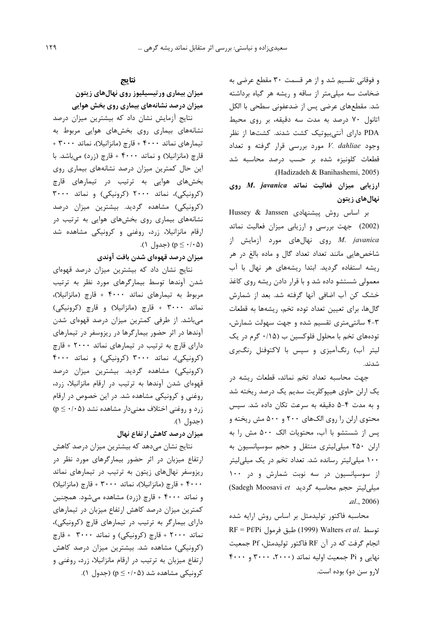و فوقانی تقسیم شد و از هر قسمت ۳۰ مقطع عرضی به ضخامت سه میلی متر از ساقه و ریشه هر گیاه برداشته شد. مقطعهای عرضی پس از ضدعفونی سطحی با الکل اتانول ۷۰ درصد به مدت سه دقیقه، بر روی محیط PDA دارای آنتیبیوتیک کشت شدند. کشتها از نظر  $V.$  dahliae وجود  $V.$  dahliae وجود  $V.$  dahliae وجود قطعات کلونیزه شده بر حسب درصد محاسبه شد .(Hadizadeh & Banihashemi, 2005)

ارزیابی میزان فعالیت نماتد M. javanica روی نهال های زیتون

بر اساس روش پیشنهادی Hussey & Janssen (2002) جهت بررسی و ارزیابی میزان فعالیت نماتد روی نهالهای مورد آزمایش از M. javanica شاخصهایی مانند تعداد تعداد گال و ماده بالغ در هر ریشه استفاده گردید. ابتدا ریشههای هر نهال با آب معمولی شستشو داده شد و با قرار دادن ریشه روی کاغذ خشک کن آب اضافی آنها گرفته شد. بعد از شمارش گالها، برای تعیین تعداد توده تخم، ریشهها به قطعات ۴-۳ سانتی متری تقسیم شده و جهت سهولت شمارش، تودههای تخم با محلول فلوکسین ب (۰/۱۵ گرم در یک لیتر آب) رنگآمیزی و سپس با لاکتوفنل رنگبری شدند.

جهت محاسبه تعداد تخم نماتد، قطعات ریشه در یک ارلن حاوی هیپوکلریت سدیم یک درصد ریخته شد و به مدت ۴-۵ دقیقه به سرعت تکان داده شد. سپس محتوی ارلن را روی الکهای ۲۰۰ و ۵۰۰ مش ریخته و يس از شستشو با آب، محتويات الك ۵۰۰ مش را به ارلن ۲۵۰ میلی لیتری منتقل و حجم سوسپانسیون به ۱۰۰ میلی لیتر رسانده شد. تعداد تخم در یک میلی لیتر از سوسپانسیون در سه نوبت شمارش و در ۱۰۰ (Sadegh Moosavi et میلی لیتر حجم محاسبه گردید)  $al., 2006$ 

محاسبه فاکتور تولیدمثل بر اساس روش ارایه شده RF = Pf/Pi توسط (1999) Walters et al. انجام گرفت که در آن RF فاکتور تولیدمثل، Pf جمعیت نهایی و Pi جمعیت اولیه نماتد (۲۰۰۰، ۳۰۰۰ و ۴۰۰۰ لارو سن دو) بوده است.

## نتايج

میزان بیماری ورتیسیلیوز روی نهالهای زیتون میزان درصد نشانههای بیماری روی بخش هوایی

نتایج آزمایش نشان داد که بیشترین میزان درصد نشانههای بیماری روی بخشهای هوایی مربوط به تيمارهاي نماتد ۴۰۰۰ + قارچ (مانزانيلا)، نماتد ٣٠٠٠ + قارچ (مانزانیلا) و نماتد ۴۰۰۰ + قارچ (زرد) میباشد. با این حال کمترین میزان درصد نشانههای بیماری روی بخشهای هوایی به ترتیب در تیمارهای قارچ (کرونیکی)، نماتد ۲۰۰۰ (کرونیکی) و نماتد ۳۰۰۰ (کرونیکی) مشاهده گردید. بیشترین میزان درصد نشانههای بیماری روی بخشهای هوایی به ترتیب در ارقام مانزانیلا، زرد، روغنی و کرونیکی مشاهده شد (۱۰۵  $(p \leq \cdot / \cdot \Delta)$  (جدول)

میزان درصد قهوهای شدن بافت آوندی

نتایج نشان داد که بیشترین میزان درصد قهوهای شدن آوندها توسط بیمارگرهای مورد نظر به ترتیب مربوط به تيمارهاي نماتد ۴۰۰۰ + قارچ (مانزانيلا)، نماتد ۳۰۰۰ + قارچ (مانزانیلا) و قارچ (کرونیکی) میباشد. از طرفی کمترین میزان درصد قهوهای شدن آوندها در اثر حضور بیمارگرها در ریزوسفر در تیمارهای دارای قارچ به ترتیب در تیمارهای نماتد ۲۰۰۰ + قارچ (کرونیکی)، نماتد ۳۰۰۰ (کرونیکی) و نماتد ۴۰۰۰ (کرونیکی) مشاهده گردید. بیشترین میزان درصد قهوهای شدن آوندها به ترتیب در ارقام مانزانیلا، زرد، روغنی و کرونیکی مشاهده شد. در این خصوص در ارقام زرد و روغنی اختلاف معنیدار مشاهده نشد (p ≤ ·/·۵) (جدول ۱).

میزان درصد کاهش ارتفاع نهال

نتایج نشان میدهد که بیشترین میزان درصد کاهش ارتفاع میزبان در اثر حضور بیمارگرهای مورد نظر در ریزوسفر نهالهای زیتون به ترتیب در تیمارهای نماتد ۴۰۰۰ + قارچ (مانزانیلا)، نماتد ۳۰۰۰ + قارچ (مانزانیلا) و نماتد ۴۰۰۰ + قارچ (زرد) مشاهده میشود. همچنین کمترین میزان درصد کاهش ارتفاع میزبان در تیمارهای دارای بیمارگر به ترتیب در تیمارهای قارچ (کرونیکی)، نماتد ۲۰۰۰ + قارچ (كرونيكي) و نماتد ۳۰۰۰ + قارچ (کرونیکی) مشاهده شد. بیشترین میزان درصد کاهش ارتفاع میزبان به ترتیب در ارقام مانزانیلا، زرد، روغنی و کرونیکی مشاهده شد (p ≤ ·/· ۵) (جدول ۱).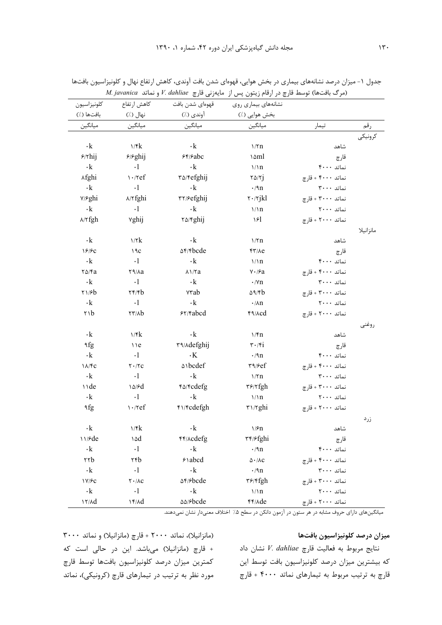| كلونيزاسيون        | كاهش ارتفاع                                         | قهوهاي شدن بافت                      | نشانههای بیماری روی                      |                   |           |
|--------------------|-----------------------------------------------------|--------------------------------------|------------------------------------------|-------------------|-----------|
| بافتها (./)        | نهال (٪)                                            | آوندي (٪)                            | بخش هوايي (./)                           |                   |           |
| ميانگين            | ميانگين                                             | ميانگين                              | ميانگين                                  | تيمار             | رقم       |
|                    |                                                     |                                      |                                          |                   | كرونيكي   |
| $\cdot$ k          | 1/fk                                                | $\cdot$ k                            | $\frac{1}{\pi}$                          | شاهد              |           |
| $5/7$ hij          | <b>F/Fghij</b>                                      | 55/2                                 | ۱۵ml                                     | قارچ              |           |
| $\cdot {\bf k}$    | $\cdot$ 1                                           | $\cdot$ k                            | 1/1n                                     | نماتد ۴۰۰۰        |           |
| <b>Afghi</b>       | $\cdot$ / $ref$                                     | ٣۵/۴efghij                           | $\tau \Delta/\tau j$                     | نماتد ۴۰۰۰ + قارچ |           |
| $\cdot$ k          | $\cdot \mathbf{l}$                                  | $\cdot \mathbf{k}$                   | $\cdot$ /٩n                              | نماتد ٣٠٠٠        |           |
| <b>Y/Sghi</b>      | <b>A/Yfghi</b>                                      | ٣٢/۶efghij                           | $\mathsf{r} \cdot \mathsf{r}$ jkl        | نماتد ۳۰۰۰ + قارچ |           |
| $\cdot\mathbf{k}$  | $\cdot$ 1                                           | $\cdot$ k                            | $\frac{\gamma}{n}$                       | نماتد ۲۰۰۰        |           |
| $\lambda$ /۲fgh    | vghij                                               | <b>T</b> <sup>o</sup> / <i>fghij</i> | ۱۶Ι                                      | نماتد ۲۰۰۰ + قارچ |           |
|                    |                                                     |                                      |                                          |                   | مانزانيلا |
| $\cdot$ k          | 1/7k                                                | $\cdot$ k                            | $\frac{1}{\pi}$                          | شاهد              |           |
| 18/9C              | 19c                                                 | <b>AF/Fbcde</b>                      | $f\frac{1}{2}$                           | قارچ              |           |
| $\cdot$ k          | $\cdot$ 1                                           | $\cdot$ k                            | 1/1n                                     | نماتد ۴۰۰۰        |           |
| $\frac{8}{2}$      | та/ла                                               | $\lambda\log a$                      | $\lor\cdot\ /\nvdash a$                  | نماتد ۴۰۰۰ + قارچ |           |
| $\cdot$ k          | $\cdot$ 1                                           | $\cdot$ k                            | $\cdot$ /Yn                              | نماتد ٣٠٠٠        |           |
| $\frac{1}{6}$      | $\tau$ r $\beta$                                    | vrab                                 | $\Delta$ 9/۴ $b$                         | نماتد ۳۰۰۰ + قارچ |           |
| $\cdot$ k          | $\cdot$ l                                           | $\cdot$ k                            | $\cdot$ /An                              | نماتد ٢٠٠٠        |           |
| ۲۱b                | $\tau\tau$ / $\lambda b$                            | 57/40                                | F9/Acd                                   | نماتد ۲۰۰۰ + قارچ |           |
|                    |                                                     |                                      |                                          |                   | روعنى     |
| $\cdot$ k          | 1/fk                                                | $\cdot$ k                            | $\frac{\sqrt{7}}{2}$                     | شاهد              |           |
| ٩fg                | $\vee$                                              | ٣٩/٨defghij                          | $\mathbf{r} \cdot \mathbf{r}$            | قارچ              |           |
| $\cdot\mathbf{k}$  | $\cdot$ 1                                           | $\cdot$ K                            | $\cdot$ /9n                              | نماتد ۴۰۰۰        |           |
| $\lambda/\sqrt{c}$ | $\mathbf{Y}\boldsymbol{\cdot}/\mathbf{Y}\mathbf{C}$ | ۵١bcdef                              | $r\gamma/\epsilon f$                     | نماتد ۴۰۰۰ + قارچ |           |
| $\cdot {\bf k}$    | $\cdot$ 1                                           | $\cdot {\bf k}$                      | $\frac{1}{\pi}$                          | نماتد ٣٠٠٠        |           |
| \\de               | 10/6d                                               | <b>۴۵/۴cdefg</b>                     | $\mathbf{r}$ ۶/۲fgh                      | نماتد ۳۰۰۰ + قارچ |           |
| $\cdot\mathbf{k}$  | $\cdot$ 1                                           | $\cdot\mathbf{k}$                    | 1/n                                      | نماتد ۲۰۰۰        |           |
| ٩fg                | $\cdot$ / $ref$                                     | ۴۱/۴cdefgh                           | $\mathbf{r} \mathbf{1} / \mathbf{r}$ ghi | نماتد ۲۰۰۰ + قارچ |           |
|                    |                                                     |                                      |                                          |                   | زرد       |
| ۰k                 | 1/fk                                                | $\cdot$ k                            | $\frac{1}{5}$                            | شاهد              |           |
| 11/6               | ۱۵d                                                 | <b>۴۴/Acdefg</b>                     | ۳۴/۶fghi                                 | قارچ              |           |
| $\cdot\mathbf{k}$  | $\cdot$ 1                                           | $\cdot \mathbf{k}$                   | $\cdot$ /٩n                              | نماتد ۴۰۰۰        |           |
| ۲۲b                | ۲۴b                                                 | $5$ abcd                             | $\Delta \cdot / \Lambda \mathrm{C}$      | نماتد ۴۰۰۰ + قارچ |           |
| $\cdot$ k          | $\cdot$ 1                                           | $\cdot$ k                            | $\cdot$ /٩n                              | نماتد ٣٠٠٠        |           |
| 1V/FC              | $\mathbf{Y}\boldsymbol{\cdot}/\mathbf{AC}$          | $\Delta f$ / $\epsilon$ bcde         | $\mathbf{r}$ ۶/۴fgh                      | نماتد ۳۰۰۰ + قارچ |           |
| $\cdot$ k          | $\cdot$ 1                                           | $\cdot {\bf k}$                      | 1/n                                      | نماتد ۲۰۰۰        |           |
| $17/\lambda d$     | $1f/\lambda d$                                      | $\Delta\Delta/\mathcal{F}bcde$       | <b>FF/Ade</b>                            | نماتد ۲۰۰۰ + قارچ |           |

جدول ۱- میزان درصد نشانههای بیماری در بخش هوایی، قهوهای شدن بافت آوندی، کاهش ارتفاع نهال و کلونیزاسیون بافتها M. javanica (مرگ بافتها) توسط قارچ در ارقام زیتون پس از مایهزنی قارچ V. dahliae و نماتد M. javanica

.<br>میانگینهای دارای حروف مشابه در هر ستون در آزمون دانکن در سطح ۵٪ اختلاف معنیدار نشان نمیدهند.

#### ميزان درصد كلونيزاسيون بافتها

نتايج مربوط به فعاليت قارچ V. dahliae نشان داد که بیشترین میزان درصد کلونیزاسیون بافت توسط این قارچ به ترتیب مربوط به تیمارهای نماتد ۴۰۰۰ + قارچ

(مانزانیلا)، نماتد ٢٠٠٠ + قارچ (مانزانیلا) و نماتد ٣٠٠٠ + قارچ (مانزانیلا) میباشد. این در حالی است که كمترين ميزان درصد كلونيزاسيون بافتها توسط قارچ مورد نظر به ترتیب در تیمارهای قارچ (کرونیکی)، نماتد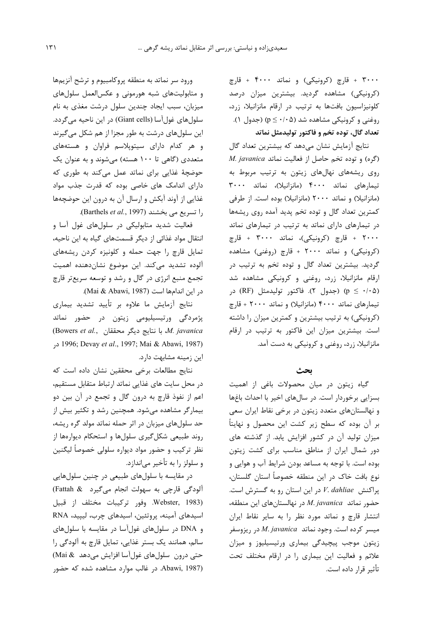۳۰۰۰ + قارچ (کرونیکی) و نماتد ۴۰۰۰ + قارچ (کرونیکی) مشاهده گردید. بیشترین میزان درصد كلونيزاسيون بافتها به ترتيب در ارقام مانزانيلا، زرد، روغنی و کرونیکی مشاهده شد (p ≤ ∙/∙۵) (جدول ۱). تعداد گال، توده تخم و فاکتور تولیدمثل نماتد

نتایج آزمایش نشان میدهد که بیشترین تعداد گال  $M.$  javanica ( $\zeta$ ه) و توده تخم حاصل از فعالیت نماتد روی ریشههای نهالهای زیتون به ترتیب مربوط به تیمارهای نماتد ۴۰۰۰ (مانزانیلا)، نماتد ۳۰۰۰ (مانزانیلا) و نماتد ۲۰۰۰ (مانزانیلا) بوده است. از طرفی کمترین تعداد گال و توده تخم پدید آمده روی ریشهها در تیمارهای دارای نماتد به ترتیب در تیمارهای نماتد ۲۰۰۰ + قارچ (کرونیکی)، نماتد ۳۰۰۰ + قارچ (کرونیکی) و نماتد ۲۰۰۰ + قارچ (روغنی) مشاهده گردید. بیشترین تعداد گال و توده تخم به ترتیب در ارقام مانزانیلا، زرد، روغنی و کرونیکی مشاهده شد (۵ ۰/۰۵ = p) (جدول ۲). فاكتور توليدمثل (RF) در تیمارهای نماتد ۴۰۰۰ (مانزانیلا) و نماتد ۲۰۰۰ + قارچ (کرونیکی) به ترتیب بیشترین و کمترین میزان را داشته است. بیشترین میزان این فاکتور به ترتیب در ارقام مانزانیلا، زرد، روغنی و کرونیکی به دست آمد.

بحث

گیاه زیتون در میان محصولات باغی از اهمیت بسزایی برخوردار است. در سالهای اخیر با احداث باغها و نهالستانهای متعدد زیتون در برخی نقاط ایران سعی بر آن بوده که سطح زیر کشت این محصول و نهایتاً میزان تولید آن در کشور افزایش یابد. از گذشته های دور شمال ایران از مناطق مناسب برای کشت زیتون بوده است. با توجه به مساعد بودن شرایط آب و هوایی و نوع بافت خاک در این منطقه خصوصاً استان گلستان، پراکنش V. dahliae در این استان رو به گسترش است.  $M$ . حضور نماتد M. javanica در نهالستانهای این منطقه، انتشار قارچ و نماتد مورد نظر را به سایر نقاط ایران میسر کرده است. وجود نماتد M. javanica در ریزوسفر زیتون موجب پیچیدگی بیماری ورتیسیلیوز و میزان علائم و فعالیت این بیماری را در ارقام مختلف تحت تأثير قرار داده است.

ورود سر نماتد به منطقه پروکامبیوم و ترشح آنزیمها و متابولیتهای شبه هورمونی و عکسالعمل سلولهای میزبان، سبب ایجاد چندین سلول درشت مغذی به نام سلولهای غول[سا (Giant cells) در این ناحیه میگردد. این سلولهای درشت به طور مجزا از هم شکل میگیرند و هر کدام دارای سیتوپلاسم فراوان و هستههای متعددی (گاهی تا ۱۰۰ هسته) میشوند و به عنوان یک حوضچهٔ غذایی برای نماتد عمل میکند به طوری که دارای اندامک های خاصی بوده که قدرت جذب مواد غذایی از آوند آبکش و ارسال آن به درون این حوضچهها را تسریع می بخشند (Barthels et al., 1997).

فعالیت شدید متابولیکی در سلولهای غول آسا و انتقال مواد غذائی از دیگر قسمتهای گیاه به این ناحیه، تمایل قارچ را جهت حمله و کلونیزه کردن ریشههای آلوده تشدید می کند. این موضوع نشاندهنده اهمیت تجمع منبع انرژی در گال و رشد و توسعه سریعتر قارچ در این اندامها است (Mai & Abawi, 1987).

نتایج آزمایش ما علاوه بر تأیید تشدید بیماری پژمردگی ورتیسیلیومی زیتون در حضور نماتد (Bowers et al., با نتايج ديگر محققان .A. javanica در 1996; Devay et al., 1997; Mai & Abawi, 1987) این زمینه مشابهت دارد.

نتايج مطالعات برخى محققين نشان داده است كه در محل سایت های غذایی نماتد ارتباط متقابل مستقیم، اعم از نفوذ قارچ به درون گال و تجمع در آن بین دو بیمارگر مشاهده میشود. همچنین رشد و تکثیر بیش از حد سلولهای میزبان در اثر حمله نماتد مولد گره ریشه، روند طبیعی شکل گیری سلولها و استحکام دیوارهها از نظر ترکیب و حضور مواد دیواره سلولی خصوصاً لیگنین و سلولز را به تأخیر میاندازد.

در مقایسه با سلولهای طبیعی در چنین سلولهایی آلودگی قارچی به سهولت انجام می گیرد Fattah & Webster, 1983). وفور تركيبات مختلف از قبيل اسیدهای آمینه، یروتئین، اسیدهای چرب، لیپید، RNA و DNA در سلولهای غولآسا در مقایسه با سلولهای سالم، همانند یک بستر غذایی، تمایل قارچ به آلودگی را حتى درون سلولهاى غول آسا افزايش مى دهد & Mai) (Abawi, 1987. در غالب موارد مشاهده شده که حضور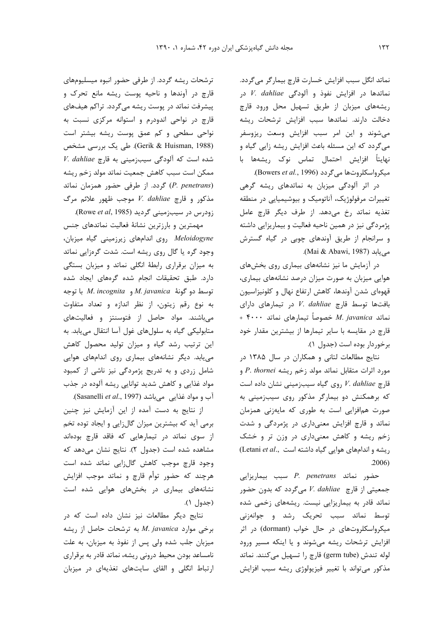نماتد انگل سبب افزايش خسارت قارچ بيمارگر ميگردد. نماتدها در افزایش نفوذ و آلودگی V. dahliae بر ریشههای میزبان از طریق تسهیل محل ورود قارچ دخالت دارند. نماتدها سبب افزايش ترشحات ريشه می شوند و این امر سبب افزایش وسعت ریزوسفر میگردد که این مسئله باعث افزایش ریشه زایی گیاه و نهایتاً افزایش احتمال تماس نوک ریشهها با . میکرواسکلروتها میگردد (Bowers et al., 1996).

در اثر آلودگی میزبان به نماتدهای ریشه گرهی تغییرات مرفولوژیک، آناتومیک و بیوشیمیایی در منطقه تغذیه نماتد رخ میدهد. از طرف دیگر قارچ عامل پژمردگی نیز در همین ناحیه فعالیت و بیماریزایی داشته و سرانجام از طريق آوندهاى چوبى در گياه گسترش مي يابد (Mai & Abawi, 1987).

در آزمایش ما نیز نشانههای بیماری روی بخشهای هوایی میزبان به صورت میزان درصد نشانههای بیماری، قهوهای شدن آوندها، کاهش ارتفاع نهال و کلونیزاسیون بافتها توسط قارچ V. dahliae بافتها در تیمارهای دارای + ۴۰۰۰ نماتد *M. javanica* خصوصاً تیمارهای نماتد قارچ در مقایسه با سایر تیمارها از بیشترین مقدار خود برخوردار بوده است (جدول ١).

نتایج مطالعات لتانی و همکاران در سال ۱۳۸۵ در مورد اثرات متقابل نماتد مولد زخم ريشه P. thornei و قارچ V. dahliae روی گیاه سیبزمینی نشان داده است که برهمکنش دو بیمارگر مذکور روی سیبزمینی به صورت همافزایی است به طوری که مایهزنی همزمان نماتد و قارچ افزایش معنیداری در پژمردگی و شدت زخم ریشه و کاهش معنیداری در وزن تر و خشک (Letani et al., ریشه و اندامهای هوایی گیاه داشته است  $.2006)$ 

 $P.$  penetrans حضور نماتد P. penetrans جمعیتی از قارچ V. dahliae میگردد که بدون حضور نماتد قادر به بیماریزایی نیست. ریشههای زخمی شده توسط نماتد سبب تحریک رشد و جوانهزنی میکرواسکلروتهای در حال خواب (dormant) در اثر افزایش ترشحات ریشه می شوند و یا اینکه مسیر ورود لوله تندش (germ tube) قارچ را تسهيل ميكنند. نماتد مذکور می تواند با تغییر فیزیولوژی ریشه سبب افزایش

ترشحات ریشه گردد. از طرفی حضور انبوه میسلیومهای قارچ در آوندها و ناحیه پوست ریشه مانع تحرک و پیشرفت نماتد در پوست ریشه میگردد. تراکم هیفهای قارچ در نواحی اندودرم و استوانه مرکزی نسبت به نواحی سطحی و کم عمق پوست ریشه بیشتر است (Gerik & Huisman, 1988). طی یک بررسی مشخص V. dahliae شده است که آلودگی سیبزمینی به قارچ ممكن است سبب كاهش جمعيت نماتد مولد زخم ريشه (P. penetrans) گردد. از طرفی حضور همزمان نماتد  $V.$  dahliae مذكور و قارچ V. dahliae موجب ظهور علائم مرگ زودرس در سیبزمینی گردید (Rowe et al, 1985).

مهمترین و بارزترین نشانهٔ فعالیت نماتدهای جنس Meloidogyne روى اندامهاى زيرزمينى گياه ميزبان، وجود گره یا گال روی ریشه است. شدت گرهزایی نماتد به میزان برقراری رابطهٔ انگلی نماتد و میزبان بستگی دارد. طبق تحقیقات انجام شده گرههای ایجاد شده  $M.$  incognita و گونهٔ M. javanica و M. incognita با توجه به نوع رقم زيتون، از نظر اندازه و تعداد متفاوت میباشند. مواد حاصل از فتوسنتز و فعالیتهای متابولیکی گیاه به سلولهای غول آسا انتقال می یابد. به این ترتیب رشد گیاه و میزان تولید محصول کاهش می یابد. دیگر نشانههای بیماری روی اندامهای هوایی شامل زردی و به تدریج پژمردگی نیز ناشی از کمبود مواد غذایی و کاهش شدید توانایی ریشه آلوده در جذب آب و مواد غذایی میباشد (Sasanelli et al., 1997).

از نتایج به دست آمده از این آزمایش نیز چنین برمی آید که بیشترین میزان گالزایی و ایجاد توده تخم از سوی نماتد در تیمارهایی که فاقد قارچ بودهاند مشاهده شده است (جدول ٢). نتايج نشان مى دهد كه وجود قارچ موجب كاهش گالزايي نماتد شده است هرچند که حضور توأم قارچ و نماتد موجب افزایش نشانههای بیماری در بخشهای هوایی شده است (جدول ۱).

نتایج دیگر مطالعات نیز نشان داده است که در  $M.$  javanica برخی موارد M. javanica برخی موارد میزبان جلب شده ولی پس از نفوذ به میزبان، به علت نامساعد بودن محيط دروني ريشه، نماتد قادر به برقراري ارتباط انگلی و القای سایتهای تغذیهای در میزبان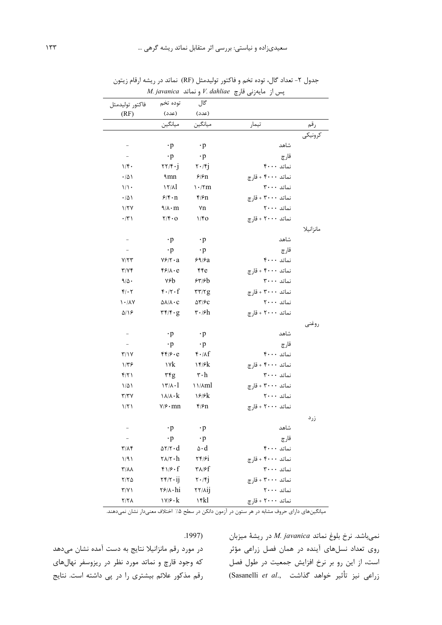|                          | <i>jaranca</i>                                         |                                     | پس از اسپارٹی فارغ |           |
|--------------------------|--------------------------------------------------------|-------------------------------------|--------------------|-----------|
| فاكتور توليدمثل          | توده تخم                                               | گال                                 |                    |           |
| (RF)                     | (عدد)                                                  | (عدد)                               |                    |           |
|                          | ميانگين                                                | ميانگين                             | تيمار              | رقم       |
|                          |                                                        |                                     |                    | كرونيكي   |
|                          | $\cdot$ p                                              | $\cdot$ p                           | شاهد               |           |
| $\overline{\phantom{a}}$ | $\cdot$ p                                              | $\cdot$ p                           | قارچ               |           |
| 1/f.                     | $\mathbf{Y}\mathbf{Y}/\mathbf{Y}\cdot\mathbf{j}$       | $\mathbf{Y} \cdot \mathbf{y}$       | نماتد ۴۰۰۰         |           |
| $\cdot/\Delta$           | $\mathop{\rm \mathfrak{m}}\nolimits$                   | 5/5n                                | نماتد ۴۰۰۰ + قارچ  |           |
| $1/1$ .                  | $17/\lambda$                                           | $\cdot$ /٢m                         | نماتد ۳۰۰۰         |           |
| $\cdot/\Delta$           | $9/5 \cdot n$                                          | f/fn                                | نماتد ۳۰۰۰ + قارچ  |           |
| 1/7V                     | $9/\lambda \cdot m$                                    | ٧n                                  | نماتد ۲۰۰۰         |           |
| $\cdot/\tau$             | $\mathbf{Y}/\mathbf{f}\cdot\mathbf{O}$                 | 1/fQ                                | نماتد ۲۰۰۰ + قارچ  |           |
|                          |                                                        |                                     |                    | مانزانيلا |
|                          | $\cdot$ p                                              | $\cdot$ p                           | شاهد               |           |
|                          | $\cdot$ p                                              | $\cdot$ p                           | قارچ               |           |
| Y/YY                     | $Y$ ۶/۲ $\cdot$ a                                      | 59/8a                               | نماتد ۴۰۰۰         |           |
| $\Upsilon/\Upsilon$      | f(x)                                                   | $\epsilon$                          | نماتد ۴۰۰۰ + قارچ  |           |
| 9/0.                     | ٧۶b                                                    | 55/56                               | نماتد ۳۰۰۰         |           |
| $f/\cdot 7$              | $f \cdot / \tau \cdot f$                               | $\tau\tau/\tau g$                   | نماتد ۳۰۰۰ + قارچ  |           |
| $1 - \Lambda V$          | $\Delta\lambda/\lambda\cdot C$                         | $\Delta \Upsilon$ / $\mathcal{F}$ C | نماتد ٢٠٠٠         |           |
| $\Delta/\Omega$          | $\mathbf{r} \mathbf{r}/\mathbf{r} \cdot \mathbf{g}$    | $\mathbf{r} \cdot \mathbf{s}$ h     | نماتد ۲۰۰۰ + قارچ  |           |
|                          |                                                        |                                     |                    | روغنى     |
| $\overline{\phantom{a}}$ | $\cdot$ p                                              | $\cdot$ p                           | شاهد               |           |
| $\overline{\phantom{a}}$ | $\cdot$ p                                              | $\cdot$ p                           | قارچ               |           |
| $\Upsilon/\Upsilon$      | $f(f/\mathcal{F}\cdot e)$                              | $f \cdot \Delta f$                  | نماتد ۴۰۰۰         |           |
| $1/\tau$ ۶               | ١٧k                                                    | ۱۴/۶ $k$                            | نماتد ۴۰۰۰ + قارچ  |           |
| f/Y                      | ۳۴g                                                    | $\mathbf{r} \cdot \mathbf{h}$       | نماتد ۳۰۰۰         |           |
| $1/\Delta$               | $17/\lambda - 1$                                       | <b>\\/Aml</b>                       | نماتد ۳۰۰۰ + قارچ  |           |
| $\Upsilon/\Upsilon V$    | $\lambda/\lambda \cdot k$                              | 18/8k                               | نماتد ۲۰۰۰         |           |
| 1/T                      | $Y/\hat{Y} \cdot mn$                                   | $\frac{1}{2}$                       | نماتد ۲۰۰۰ + قارچ  |           |
|                          |                                                        |                                     |                    | زرد       |
| $ \,$                    | $\cdot$ p                                              | $\cdot$ p                           | شاهد               |           |
| $\overline{\phantom{a}}$ | $\cdot$ p                                              | $\cdot p$                           | قارچ               |           |
| $\frac{1}{\pi}$          | $\Delta \Upsilon / \Upsilon \cdot d$                   | $\Delta \cdot d$                    | نماتد ۴۰۰۰         |           |
| 1/91                     | $\mathsf{Y}\wedge\mathsf{Y}\cdot\mathsf{h}$            | $\mathbf{Y} \mathbf{Y}$             | نماتد ۴۰۰۰ + قارچ  |           |
| $\tau/\lambda\lambda$    | $f1/\mathfrak{c} \cdot f$                              | ۳۸/۶f                               | نماتد ٣٠٠٠         |           |
| $Y/Y$ $\Delta$           | $\mathbf{Y} \mathbf{Y} / \mathbf{Y} \cdot \mathbf{ij}$ | $\mathbf{Y} \cdot \mathbf{y}$       | نماتد ۳۰۰۰ + قارچ  |           |
| $\Upsilon/\Upsilon$ )    | $\mathbf{Y} \mathbf{F} / \mathbf{A} \cdot \mathbf{hi}$ | <b>TY/Aij</b>                       | نماتد ٢٠٠٠         |           |
| Y/Y                      | $\gamma/\gamma\cdot k$                                 | ١۴kl                                | نماتد ۲۰۰۰ + قارچ  |           |

جدول ۲- تعداد گال، توده تخم و فاكتور توليدمثل (RF) نماتد در ريشه ارقام زيتون  $M$ . javanica پس از مايەزنى قارچ V. dahliae پ

.<br>- میانگینهای دارای حروف مشابه در هر ستون در آزمون دانکن در سطح ۰/۵ اختلاف معنیدار نشان نمیدهند.

 $.1997)$ 

نمیباشد. نرخ بلوغ نماتد M. javanica در ریشهٔ میزبان روی تعداد نسلهای آینده در همان فصل زراعی مؤثر است، از این رو بر نرخ افزایش جمعیت در طول فصل (Sasanelli et al., ازراعی نیز تأثیر خواهد گذاشت)

در مورد رقم مانزانیلا نتایج به دست آمده نشان میدهد که وجود قارچ و نماتد مورد نظر در ریزوسفر نهالهای رقم مذکور علائم بیشتری را در پی داشته است. نتایج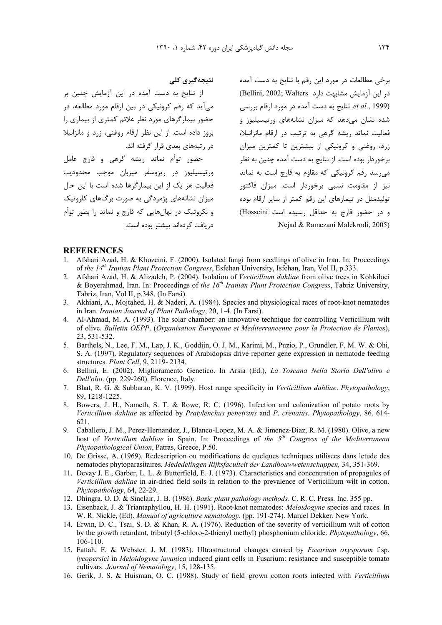نتیجەگیری کلی

از نتایج به دست آمده در این آزمایش چنین بر می آید که رقم کرونیکی در بین ارقام مورد مطالعه، در حضور بیمارگرهای مورد نظر علائم کمتری از بیماری را بروز داده است. از این نظر ارقام روغنی، زرد و مانزانیلا در رتبههای بعدی قرار گرفته اند.

حضور توأم نماتد ريشه گرهي و قارچ عامل ورتيسيليوز در ريزوسفر ميزبان موجب محدوديت فعالیت هر یک از این بیمارگرها شده است با این حال میزان نشانههای پژمردگی به صورت برگهای کلروتیک و نکروتیک در نهالهایی که قارچ و نماتد را بطور توأم دریافت کردهاند بیشتر بوده است.

برخی مطالعات در مورد این رقم با نتایج به دست آمده در این آزمایش مشابهت دارد Bellini, 2002; Walters) et al., 1999). نتايج به دست آمده در مورد ارقام بررسي شده نشان میدهد که میزان نشانههای ورتیسیلیوز و فعالیت نماتد ریشه گرهی به ترتیب در ارقام مانزانیلا، زرد، روغنی و کرونیکی از بیشترین تا کمترین میزان برخوردار بوده است. از نتایج به دست آمده چنین به نظر می رسد رقم کرونیکی که مقاوم به قارچ است به نماتد نیز از مقاومت نسبی برخوردار است. میزان فاکتور تولیدمثل در تیمارهای این رقم کمتر از سایر ارقام بوده و در حضور قارچ به حداقل رسیده است Hosseini) Nejad & Ramezani Malekrodi, 2005).

#### **REFERENCES**

- 1. Afshari Azad, H. & Khozeini, F. (2000). Isolated fungi from seedlings of olive in Iran. In: Proceedings of the 14<sup>th</sup> Iranian Plant Protection Congress, Esfehan University, Isfehan, Iran, Vol II, p.333.
- Afshari Azad, H. & Alizadeh, P. (2004). Isolation of Verticillium dahliae from olive trees in Kohkiloei  $2.$ & Boyerahmad, Iran. In: Proceedings of the  $16<sup>th</sup>$  Iranian Plant Protection Congress, Tabriz University, Tabriz, Iran, Vol II, p.348. (In Farsi).
- 3. Akhiani, A., Mojtahed, H. & Naderi, A. (1984). Species and physiological races of root-knot nematodes in Iran. Iranian Journal of Plant Pathology, 20, 1-4. (In Farsi).
- 4. Al-Ahmad, M. A. (1993). The solar chamber: an innovative technique for controlling Verticillium wilt of olive. Bulletin OEPP. (Organisation Europenne et Mediterraneenne pour la Protection de Plantes), 23, 531-532.
- 5. Barthels, N., Lee, F. M., Lap, J. K., Goddijn, O. J. M., Karimi, M., Puzio, P., Grundler, F. M. W. & Ohi, S. A. (1997). Regulatory sequences of Arabidopsis drive reporter gene expression in nematode feeding structures. Plant Cell, 9, 2119-2134.
- 6. Bellini, E. (2002). Miglioramento Genetico. In Arsia (Ed.), La Toscana Nella Storia Dell'olivo e Dell'olio. (pp. 229-260). Florence, Italy.
- 7. Bhat, R. G. & Subbarao, K. V. (1999). Host range specificity in Verticillium dahliae. Phytopathology, 89, 1218-1225.
- 8. Bowers, J. H., Nameth, S. T. & Rowe, R. C. (1996). Infection and colonization of potato roots by Verticillium dahliae as affected by Pratylenchus penetrans and P. crenatus. Phytopathology, 86, 614-621.
- 9. Caballero, J. M., Perez-Hernandez, J., Blanco-Lopez, M. A. & Jimenez-Diaz, R. M. (1980). Olive, a new host of Verticillum dahliae in Spain. In: Proceedings of the  $5<sup>th</sup>$  Congress of the Mediterranean Phytopathological Union, Patras, Greece, P.50.
- 10. De Grisse, A. (1969). Redescription ou modifications de quelques techniques utilisees dans letude des nematodes phytoparasitaires. Mededelingen Rijksfaculteit der Landbouwwetenschappen, 34, 351-369.
- 11. Devay J. E., Garber, L. L. & Butterfield, E. J. (1973). Characteristics and concentration of propagules of Verticillium dahliae in air-dried field soils in relation to the prevalence of Verticillium wilt in cotton. Phytopathology, 64, 22-29.
- 12. Dhingra, O. D. & Sinclair, J. B. (1986). Basic plant pathology methods. C. R. C. Press. Inc. 355 pp.
- 13. Eisenback, J. & Triantaphyllou, H. H. (1991). Root-knot nematodes: Meloidogyne species and races. In W. R. Nickle, (Ed). Manual of agriculture nematology. (pp. 191-274). Marcel Dekker. New York.
- 14. Erwin, D. C., Tsai, S. D. & Khan, R. A. (1976). Reduction of the severity of verticillium wilt of cotton by the growth retardant, tributyl (5-chloro-2-thienyl methyl) phosphonium chloride. *Phytopathology*, 66,  $106 - 110$ .
- 15. Fattah, F. & Webster, J. M. (1983). Ultrastructural changes caused by Fusarium oxysporum f.sp. *lycopersici* in *Meloidogyne javanica* induced giant cells in Fusarium: resistance and susceptible tomato cultivars. Journal of Nematology, 15, 128-135.
- 16. Gerik, J. S. & Huisman, O. C. (1988). Study of field-grown cotton roots infected with Verticillium